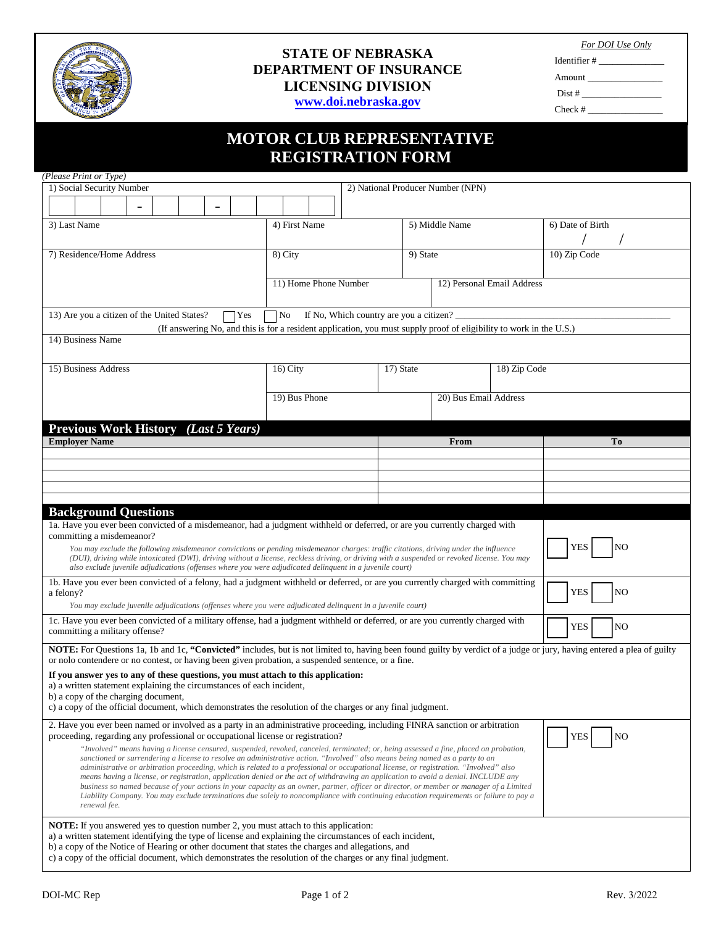

## **STATE OF NEBRASKA DEPARTMENT OF INSURANCE LICENSING DIVISION www.doi.nebraska.gov**

*For DOI Use Only*

Identifier # \_\_\_\_\_\_\_\_\_\_\_\_\_\_ Amount \_\_\_\_\_\_\_\_\_\_\_\_\_\_\_\_ Dist # $\overline{\phantom{a}}$ Check #

# **MOTOR CLUB REPRESENTATIVE MOTOR CLUB REPRESENTATIVE**

|                                                                                                                                                                                                                                                                                                                                                                                                                                                                                                                                                                                                                                                                                                                                                                                                                                                             | <b>REGISTRATION FORM</b>                                                                                            |                                         |  |                               |  |
|-------------------------------------------------------------------------------------------------------------------------------------------------------------------------------------------------------------------------------------------------------------------------------------------------------------------------------------------------------------------------------------------------------------------------------------------------------------------------------------------------------------------------------------------------------------------------------------------------------------------------------------------------------------------------------------------------------------------------------------------------------------------------------------------------------------------------------------------------------------|---------------------------------------------------------------------------------------------------------------------|-----------------------------------------|--|-------------------------------|--|
| (Please Print or Type)<br>1) Social Security Number                                                                                                                                                                                                                                                                                                                                                                                                                                                                                                                                                                                                                                                                                                                                                                                                         |                                                                                                                     | 2) National Producer Number (NPN)       |  |                               |  |
|                                                                                                                                                                                                                                                                                                                                                                                                                                                                                                                                                                                                                                                                                                                                                                                                                                                             |                                                                                                                     |                                         |  |                               |  |
| 3) Last Name                                                                                                                                                                                                                                                                                                                                                                                                                                                                                                                                                                                                                                                                                                                                                                                                                                                | 4) First Name                                                                                                       | 5) Middle Name                          |  | 6) Date of Birth              |  |
|                                                                                                                                                                                                                                                                                                                                                                                                                                                                                                                                                                                                                                                                                                                                                                                                                                                             |                                                                                                                     |                                         |  |                               |  |
| 7) Residence/Home Address<br>8) City                                                                                                                                                                                                                                                                                                                                                                                                                                                                                                                                                                                                                                                                                                                                                                                                                        |                                                                                                                     | 9) State                                |  | 10) Zip Code                  |  |
|                                                                                                                                                                                                                                                                                                                                                                                                                                                                                                                                                                                                                                                                                                                                                                                                                                                             |                                                                                                                     |                                         |  |                               |  |
|                                                                                                                                                                                                                                                                                                                                                                                                                                                                                                                                                                                                                                                                                                                                                                                                                                                             | 11) Home Phone Number                                                                                               | 12) Personal Email Address              |  |                               |  |
| 13) Are you a citizen of the United States?<br>Yes                                                                                                                                                                                                                                                                                                                                                                                                                                                                                                                                                                                                                                                                                                                                                                                                          | No                                                                                                                  | If No, Which country are you a citizen? |  |                               |  |
|                                                                                                                                                                                                                                                                                                                                                                                                                                                                                                                                                                                                                                                                                                                                                                                                                                                             | (If answering No, and this is for a resident application, you must supply proof of eligibility to work in the U.S.) |                                         |  |                               |  |
| 14) Business Name                                                                                                                                                                                                                                                                                                                                                                                                                                                                                                                                                                                                                                                                                                                                                                                                                                           |                                                                                                                     |                                         |  |                               |  |
| 15) Business Address                                                                                                                                                                                                                                                                                                                                                                                                                                                                                                                                                                                                                                                                                                                                                                                                                                        | $16)$ City                                                                                                          | 18) Zip Code<br>17) State               |  |                               |  |
|                                                                                                                                                                                                                                                                                                                                                                                                                                                                                                                                                                                                                                                                                                                                                                                                                                                             |                                                                                                                     |                                         |  |                               |  |
|                                                                                                                                                                                                                                                                                                                                                                                                                                                                                                                                                                                                                                                                                                                                                                                                                                                             | 19) Bus Phone                                                                                                       | 20) Bus Email Address                   |  |                               |  |
| Previous Work History (Last 5 Years)                                                                                                                                                                                                                                                                                                                                                                                                                                                                                                                                                                                                                                                                                                                                                                                                                        |                                                                                                                     |                                         |  |                               |  |
| <b>Employer Name</b>                                                                                                                                                                                                                                                                                                                                                                                                                                                                                                                                                                                                                                                                                                                                                                                                                                        |                                                                                                                     | From                                    |  | To                            |  |
|                                                                                                                                                                                                                                                                                                                                                                                                                                                                                                                                                                                                                                                                                                                                                                                                                                                             |                                                                                                                     |                                         |  |                               |  |
|                                                                                                                                                                                                                                                                                                                                                                                                                                                                                                                                                                                                                                                                                                                                                                                                                                                             |                                                                                                                     |                                         |  |                               |  |
|                                                                                                                                                                                                                                                                                                                                                                                                                                                                                                                                                                                                                                                                                                                                                                                                                                                             |                                                                                                                     |                                         |  |                               |  |
| <b>Background Questions</b>                                                                                                                                                                                                                                                                                                                                                                                                                                                                                                                                                                                                                                                                                                                                                                                                                                 |                                                                                                                     |                                         |  |                               |  |
| 1a. Have you ever been convicted of a misdemeanor, had a judgment withheld or deferred, or are you currently charged with<br>committing a misdemeanor?                                                                                                                                                                                                                                                                                                                                                                                                                                                                                                                                                                                                                                                                                                      |                                                                                                                     |                                         |  |                               |  |
| You may exclude the following misdemeanor convictions or pending misdemeanor charges: traffic citations, driving under the influence<br>(DUI), driving while intoxicated (DWI), driving without a license, reckless driving, or driving with a suspended or revoked license. You may<br>also exclude juvenile adjudications (offenses where you were adjudicated delinquent in a juvenile court)                                                                                                                                                                                                                                                                                                                                                                                                                                                            |                                                                                                                     |                                         |  | YES<br>NO                     |  |
| 1b. Have you ever been convicted of a felony, had a judgment withheld or deferred, or are you currently charged with committing<br><b>YES</b><br>a felony?                                                                                                                                                                                                                                                                                                                                                                                                                                                                                                                                                                                                                                                                                                  |                                                                                                                     |                                         |  | N <sub>O</sub>                |  |
| You may exclude juvenile adjudications (offenses where you were adjudicated delinquent in a juvenile court)<br>1c. Have you ever been convicted of a military offense, had a judgment withheld or deferred, or are you currently charged with                                                                                                                                                                                                                                                                                                                                                                                                                                                                                                                                                                                                               |                                                                                                                     |                                         |  |                               |  |
| committing a military offense?                                                                                                                                                                                                                                                                                                                                                                                                                                                                                                                                                                                                                                                                                                                                                                                                                              |                                                                                                                     |                                         |  | N <sub>O</sub><br><b>YES</b>  |  |
| NOTE: For Questions 1a, 1b and 1c, "Convicted" includes, but is not limited to, having been found guilty by verdict of a judge or jury, having entered a plea of guilty<br>or nolo contendere or no contest, or having been given probation, a suspended sentence, or a fine.                                                                                                                                                                                                                                                                                                                                                                                                                                                                                                                                                                               |                                                                                                                     |                                         |  |                               |  |
| If you answer yes to any of these questions, you must attach to this application:<br>a) a written statement explaining the circumstances of each incident,                                                                                                                                                                                                                                                                                                                                                                                                                                                                                                                                                                                                                                                                                                  |                                                                                                                     |                                         |  |                               |  |
| b) a copy of the charging document,<br>c) a copy of the official document, which demonstrates the resolution of the charges or any final judgment.                                                                                                                                                                                                                                                                                                                                                                                                                                                                                                                                                                                                                                                                                                          |                                                                                                                     |                                         |  |                               |  |
| 2. Have you ever been named or involved as a party in an administrative proceeding, including FINRA sanction or arbitration<br>proceeding, regarding any professional or occupational license or registration?                                                                                                                                                                                                                                                                                                                                                                                                                                                                                                                                                                                                                                              |                                                                                                                     |                                         |  | NO <sub>1</sub><br><b>YES</b> |  |
| "Involved" means having a license censured, suspended, revoked, canceled, terminated; or, being assessed a fine, placed on probation,<br>sanctioned or surrendering a license to resolve an administrative action. "Involved" also means being named as a party to an<br>administrative or arbitration proceeding, which is related to a professional or occupational license, or registration. "Involved" also<br>means having a license, or registration, application denied or the act of withdrawing an application to avoid a denial. INCLUDE any<br>business so named because of your actions in your capacity as an owner, partner, officer or director, or member or manager of a Limited<br>Liability Company. You may exclude terminations due solely to noncompliance with continuing education requirements or failure to pay a<br>renewal fee. |                                                                                                                     |                                         |  |                               |  |
| <b>NOTE:</b> If you answered yes to question number 2, you must attach to this application:<br>a) a written statement identifying the type of license and explaining the circumstances of each incident,<br>b) a copy of the Notice of Hearing or other document that states the charges and allegations, and<br>c) a copy of the official document, which demonstrates the resolution of the charges or any final judgment.                                                                                                                                                                                                                                                                                                                                                                                                                                |                                                                                                                     |                                         |  |                               |  |